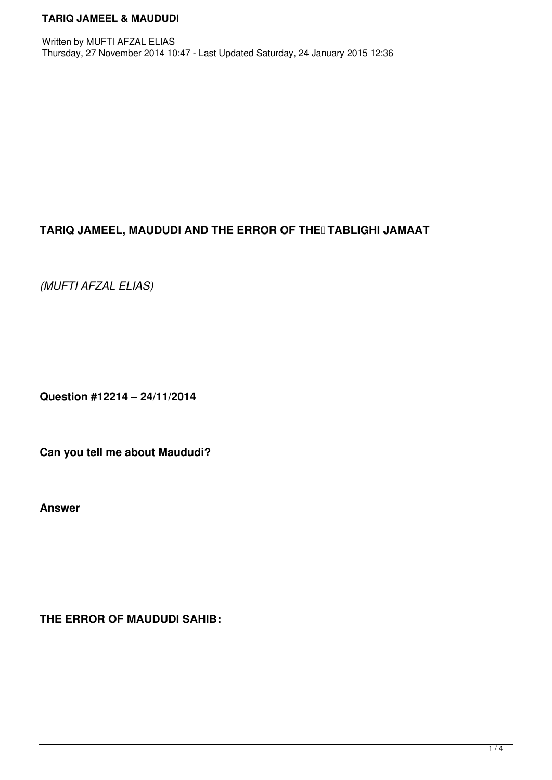# TARIQ JAMEEL, MAUDUDI AND THE ERROR OF THE TABLIGHI JAMAAT

*(MUFTI AFZAL ELIAS)*

**Question #12214 – 24/11/2014**

**Can you tell me about Maududi?**

**Answer**

**THE ERROR OF MAUDUDI SAHIB:**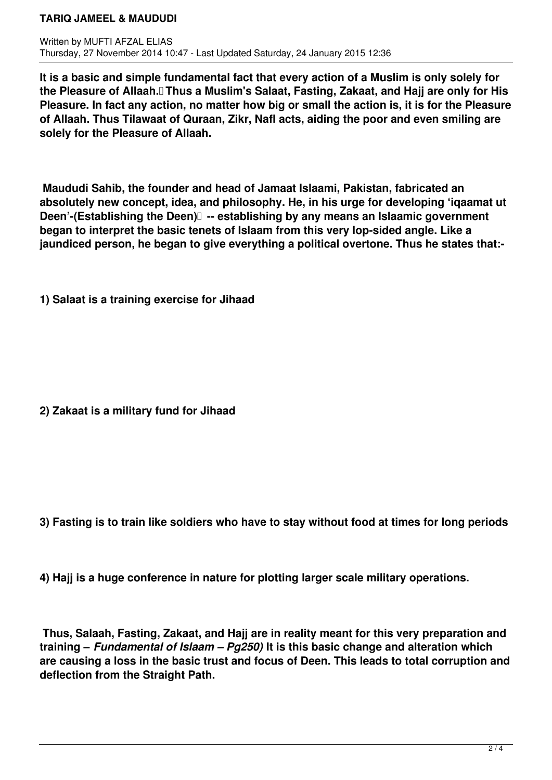**It is a basic and simple fundamental fact that every action of a Muslim is only solely for the Pleasure of Allaah. Thus a Muslim's Salaat, Fasting, Zakaat, and Hajj are only for His Pleasure. In fact any action, no matter how big or small the action is, it is for the Pleasure of Allaah. Thus Tilawaat of Quraan, Zikr, Nafl acts, aiding the poor and even smiling are solely for the Pleasure of Allaah.**

 **Maududi Sahib, the founder and head of Jamaat Islaami, Pakistan, fabricated an absolutely new concept, idea, and philosophy. He, in his urge for developing 'iqaamat ut Deen'-(Establishing the Deen)** -- establishing by any means an Islaamic government **began to interpret the basic tenets of Islaam from this very lop-sided angle. Like a jaundiced person, he began to give everything a political overtone. Thus he states that:-** 

**1) Salaat is a training exercise for Jihaad** 

**2) Zakaat is a military fund for Jihaad** 

**3) Fasting is to train like soldiers who have to stay without food at times for long periods** 

**4) Hajj is a huge conference in nature for plotting larger scale military operations.** 

 **Thus, Salaah, Fasting, Zakaat, and Hajj are in reality meant for this very preparation and training –** *Fundamental of Islaam – Pg250)* **It is this basic change and alteration which are causing a loss in the basic trust and focus of Deen. This leads to total corruption and deflection from the Straight Path.**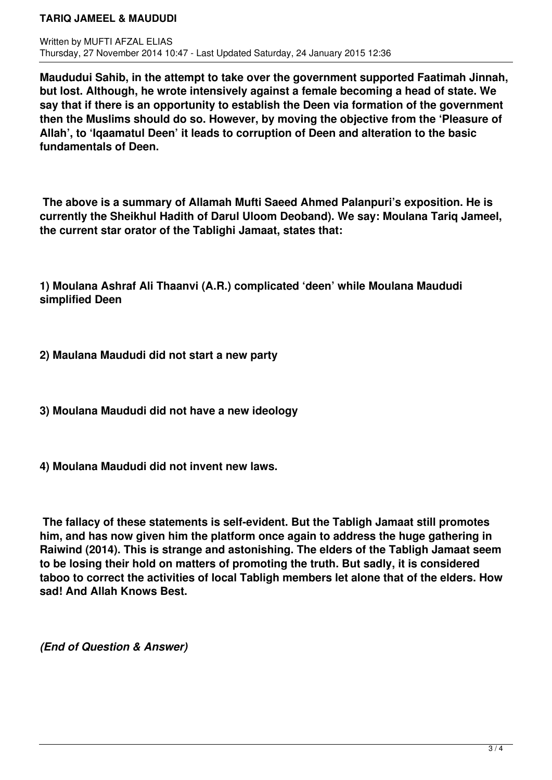**Maududui Sahib, in the attempt to take over the government supported Faatimah Jinnah, but lost. Although, he wrote intensively against a female becoming a head of state. We say that if there is an opportunity to establish the Deen via formation of the government then the Muslims should do so. However, by moving the objective from the 'Pleasure of Allah', to 'Iqaamatul Deen' it leads to corruption of Deen and alteration to the basic fundamentals of Deen.** 

 **The above is a summary of Allamah Mufti Saeed Ahmed Palanpuri's exposition. He is currently the Sheikhul Hadith of Darul Uloom Deoband). We say: Moulana Tariq Jameel, the current star orator of the Tablighi Jamaat, states that:** 

**1) Moulana Ashraf Ali Thaanvi (A.R.) complicated 'deen' while Moulana Maududi simplified Deen** 

**2) Maulana Maududi did not start a new party** 

**3) Moulana Maududi did not have a new ideology** 

**4) Moulana Maududi did not invent new laws.** 

 **The fallacy of these statements is self-evident. But the Tabligh Jamaat still promotes him, and has now given him the platform once again to address the huge gathering in Raiwind (2014). This is strange and astonishing. The elders of the Tabligh Jamaat seem to be losing their hold on matters of promoting the truth. But sadly, it is considered taboo to correct the activities of local Tabligh members let alone that of the elders. How sad! And Allah Knows Best.**

*(End of Question & Answer)*